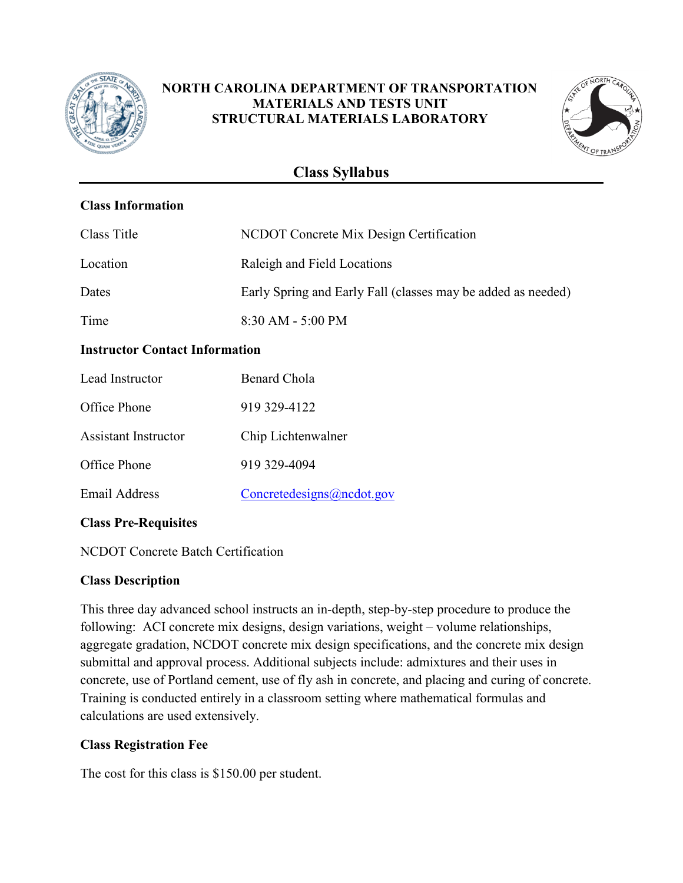

# **NORTH CAROLINA DEPARTMENT OF TRANSPORTATION MATERIALS AND TESTS UNIT STRUCTURAL MATERIALS LABORATORY**



# **Class Syllabus**

# **Class Information**

| Class Title                           | NCDOT Concrete Mix Design Certification                      |  |
|---------------------------------------|--------------------------------------------------------------|--|
| Location                              | Raleigh and Field Locations                                  |  |
| Dates                                 | Early Spring and Early Fall (classes may be added as needed) |  |
| Time                                  | $8:30$ AM - 5:00 PM                                          |  |
| <b>Instructor Contact Information</b> |                                                              |  |
| Lead Instructor                       | Benard Chola                                                 |  |

| Leau msuucioi        | DEITAH U JIOTA            |
|----------------------|---------------------------|
| Office Phone         | 919 329-4122              |
| Assistant Instructor | Chip Lichtenwalner        |
| Office Phone         | 919 329-4094              |
| <b>Email Address</b> | Concretedesigns@ncdot.gov |

# **Class Pre-Requisites**

NCDOT Concrete Batch Certification

#### **Class Description**

This three day advanced school instructs an in-depth, step-by-step procedure to produce the following: ACI concrete mix designs, design variations, weight – volume relationships, aggregate gradation, NCDOT concrete mix design specifications, and the concrete mix design submittal and approval process. Additional subjects include: admixtures and their uses in concrete, use of Portland cement, use of fly ash in concrete, and placing and curing of concrete. Training is conducted entirely in a classroom setting where mathematical formulas and calculations are used extensively.

#### **Class Registration Fee**

The cost for this class is \$150.00 per student.